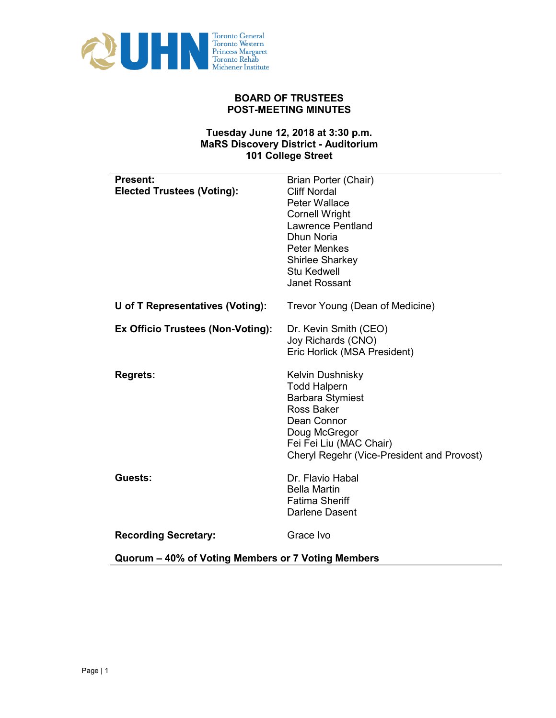

## **BOARD OF TRUSTEES POST-MEETING MINUTES**

## **Tuesday June 12, 2018 at 3:30 p.m. MaRS Discovery District - Auditorium 101 College Street**

| <b>Present:</b>                   | Brian Porter (Chair)                       |  |
|-----------------------------------|--------------------------------------------|--|
| <b>Elected Trustees (Voting):</b> | <b>Cliff Nordal</b>                        |  |
|                                   | Peter Wallace                              |  |
|                                   | <b>Cornell Wright</b>                      |  |
|                                   | Lawrence Pentland                          |  |
|                                   | Dhun Noria                                 |  |
|                                   | <b>Peter Menkes</b>                        |  |
|                                   | Shirlee Sharkey                            |  |
|                                   | <b>Stu Kedwell</b><br><b>Janet Rossant</b> |  |
|                                   |                                            |  |
| U of T Representatives (Voting):  | Trevor Young (Dean of Medicine)            |  |
| Ex Officio Trustees (Non-Voting): | Dr. Kevin Smith (CEO)                      |  |
|                                   | Joy Richards (CNO)                         |  |
|                                   | Eric Horlick (MSA President)               |  |
|                                   |                                            |  |
| <b>Regrets:</b>                   | <b>Kelvin Dushnisky</b>                    |  |
|                                   | <b>Todd Halpern</b>                        |  |
|                                   | <b>Barbara Stymiest</b>                    |  |
|                                   | Ross Baker                                 |  |
|                                   | Dean Connor                                |  |
|                                   | Doug McGregor<br>Fei Fei Liu (MAC Chair)   |  |
|                                   | Cheryl Regehr (Vice-President and Provost) |  |
|                                   |                                            |  |
| Guests:                           | Dr. Flavio Habal                           |  |
|                                   | <b>Bella Martin</b>                        |  |
|                                   | <b>Fatima Sheriff</b>                      |  |
|                                   | Darlene Dasent                             |  |
| <b>Recording Secretary:</b>       | Grace Ivo                                  |  |
|                                   |                                            |  |

**Quorum – 40% of Voting Members or 7 Voting Members**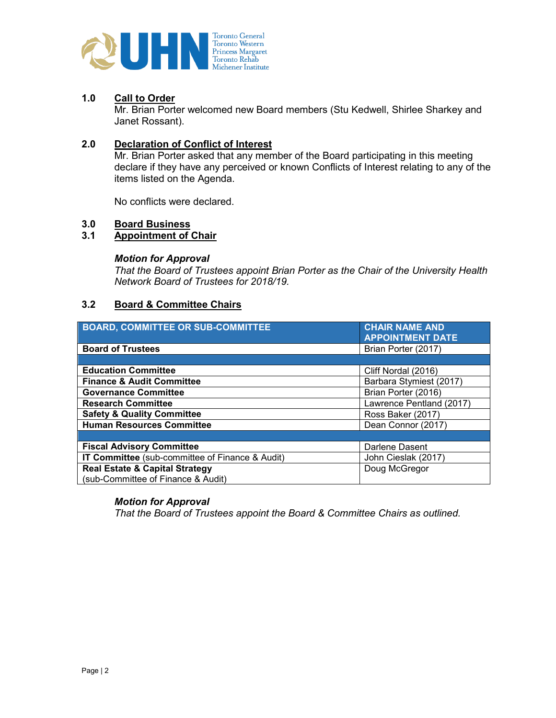

## **1.0 Call to Order**

Mr. Brian Porter welcomed new Board members (Stu Kedwell, Shirlee Sharkey and Janet Rossant).

## **2.0 Declaration of Conflict of Interest**

Mr. Brian Porter asked that any member of the Board participating in this meeting declare if they have any perceived or known Conflicts of Interest relating to any of the items listed on the Agenda.

No conflicts were declared.

# **3.0 Board Business**

#### **3.1 Appointment of Chair**

#### *Motion for Approval*

*That the Board of Trustees appoint Brian Porter as the Chair of the University Health Network Board of Trustees for 2018/19.*

## **3.2 Board & Committee Chairs**

| <b>BOARD, COMMITTEE OR SUB-COMMITTEE</b>        | <b>CHAIR NAME AND</b>    |
|-------------------------------------------------|--------------------------|
|                                                 | <b>APPOINTMENT DATE</b>  |
| <b>Board of Trustees</b>                        | Brian Porter (2017)      |
|                                                 |                          |
| <b>Education Committee</b>                      | Cliff Nordal (2016)      |
| <b>Finance &amp; Audit Committee</b>            | Barbara Stymiest (2017)  |
| <b>Governance Committee</b>                     | Brian Porter (2016)      |
| <b>Research Committee</b>                       | Lawrence Pentland (2017) |
| <b>Safety &amp; Quality Committee</b>           | Ross Baker (2017)        |
| <b>Human Resources Committee</b>                | Dean Connor (2017)       |
|                                                 |                          |
| <b>Fiscal Advisory Committee</b>                | Darlene Dasent           |
| IT Committee (sub-committee of Finance & Audit) | John Cieslak (2017)      |
| <b>Real Estate &amp; Capital Strategy</b>       | Doug McGregor            |
| (sub-Committee of Finance & Audit)              |                          |

#### *Motion for Approval*

*That the Board of Trustees appoint the Board & Committee Chairs as outlined.*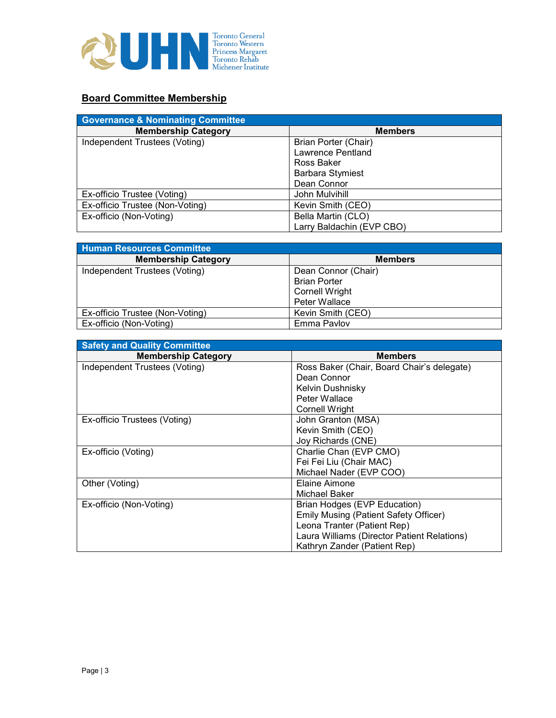

## **Board Committee Membership**

| <b>Governance &amp; Nominating Committee</b> |                           |
|----------------------------------------------|---------------------------|
| <b>Membership Category</b>                   | <b>Members</b>            |
| Independent Trustees (Voting)                | Brian Porter (Chair)      |
|                                              | Lawrence Pentland         |
|                                              | Ross Baker                |
|                                              | <b>Barbara Stymiest</b>   |
|                                              | Dean Connor               |
| Ex-officio Trustee (Voting)                  | John Mulvihill            |
| Ex-officio Trustee (Non-Voting)              | Kevin Smith (CEO)         |
| Ex-officio (Non-Voting)                      | Bella Martin (CLO)        |
|                                              | Larry Baldachin (EVP CBO) |

| <b>Human Resources Committee</b> |                       |
|----------------------------------|-----------------------|
| <b>Membership Category</b>       | <b>Members</b>        |
| Independent Trustees (Voting)    | Dean Connor (Chair)   |
|                                  | <b>Brian Porter</b>   |
|                                  | <b>Cornell Wright</b> |
|                                  | Peter Wallace         |
| Ex-officio Trustee (Non-Voting)  | Kevin Smith (CEO)     |
| Ex-officio (Non-Voting)          | Emma Pavlov           |

| <b>Safety and Quality Committee</b> |                                             |
|-------------------------------------|---------------------------------------------|
| <b>Membership Category</b>          | <b>Members</b>                              |
| Independent Trustees (Voting)       | Ross Baker (Chair, Board Chair's delegate)  |
|                                     | Dean Connor                                 |
|                                     | Kelvin Dushnisky                            |
|                                     | Peter Wallace                               |
|                                     | Cornell Wright                              |
| Ex-officio Trustees (Voting)        | John Granton (MSA)                          |
|                                     | Kevin Smith (CEO)                           |
|                                     | Joy Richards (CNE)                          |
| Ex-officio (Voting)                 | Charlie Chan (EVP CMO)                      |
|                                     | Fei Fei Liu (Chair MAC)                     |
|                                     | Michael Nader (EVP COO)                     |
| Other (Voting)                      | Elaine Aimone                               |
|                                     | Michael Baker                               |
| Ex-officio (Non-Voting)             | Brian Hodges (EVP Education)                |
|                                     | Emily Musing (Patient Safety Officer)       |
|                                     | Leona Tranter (Patient Rep)                 |
|                                     | Laura Williams (Director Patient Relations) |
|                                     | Kathryn Zander (Patient Rep)                |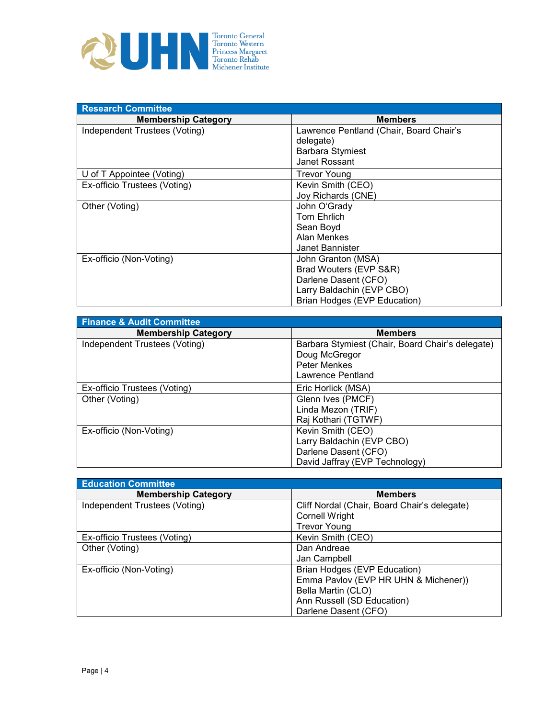

| <b>Research Committee</b>     |                                         |
|-------------------------------|-----------------------------------------|
| <b>Membership Category</b>    | <b>Members</b>                          |
| Independent Trustees (Voting) | Lawrence Pentland (Chair, Board Chair's |
|                               | delegate)                               |
|                               | <b>Barbara Stymiest</b>                 |
|                               | Janet Rossant                           |
| U of T Appointee (Voting)     | <b>Trevor Young</b>                     |
| Ex-officio Trustees (Voting)  | Kevin Smith (CEO)                       |
|                               | Joy Richards (CNE)                      |
| Other (Voting)                | John O'Grady                            |
|                               | Tom Ehrlich                             |
|                               | Sean Boyd                               |
|                               | Alan Menkes                             |
|                               | Janet Bannister                         |
| Ex-officio (Non-Voting)       | John Granton (MSA)                      |
|                               | Brad Wouters (EVP S&R)                  |
|                               | Darlene Dasent (CFO)                    |
|                               | Larry Baldachin (EVP CBO)               |
|                               | Brian Hodges (EVP Education)            |

| <b>Finance &amp; Audit Committee</b> |                                                  |
|--------------------------------------|--------------------------------------------------|
| <b>Membership Category</b>           | <b>Members</b>                                   |
| Independent Trustees (Voting)        | Barbara Stymiest (Chair, Board Chair's delegate) |
|                                      | Doug McGregor                                    |
|                                      | Peter Menkes                                     |
|                                      | Lawrence Pentland                                |
| Ex-officio Trustees (Voting)         | Eric Horlick (MSA)                               |
| Other (Voting)                       | Glenn Ives (PMCF)                                |
|                                      | Linda Mezon (TRIF)                               |
|                                      | Raj Kothari (TGTWF)                              |
| Ex-officio (Non-Voting)              | Kevin Smith (CEO)                                |
|                                      | Larry Baldachin (EVP CBO)                        |
|                                      | Darlene Dasent (CFO)                             |
|                                      | David Jaffray (EVP Technology)                   |

| <b>Education Committee</b>    |                                              |
|-------------------------------|----------------------------------------------|
| <b>Membership Category</b>    | <b>Members</b>                               |
| Independent Trustees (Voting) | Cliff Nordal (Chair, Board Chair's delegate) |
|                               | <b>Cornell Wright</b>                        |
|                               | <b>Trevor Young</b>                          |
| Ex-officio Trustees (Voting)  | Kevin Smith (CEO)                            |
| Other (Voting)                | Dan Andreae                                  |
|                               | Jan Campbell                                 |
| Ex-officio (Non-Voting)       | Brian Hodges (EVP Education)                 |
|                               | Emma Pavlov (EVP HR UHN & Michener))         |
|                               | Bella Martin (CLO)                           |
|                               | Ann Russell (SD Education)                   |
|                               | Darlene Dasent (CFO)                         |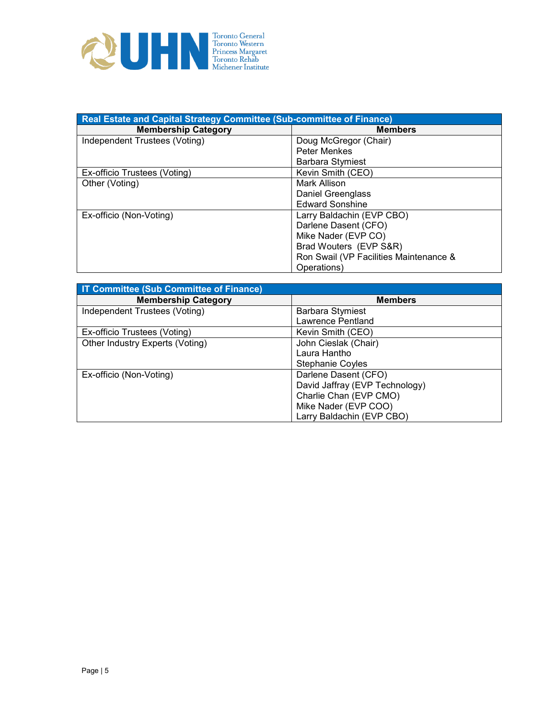

| Real Estate and Capital Strategy Committee (Sub-committee of Finance) |                                        |  |
|-----------------------------------------------------------------------|----------------------------------------|--|
| <b>Membership Category</b>                                            | <b>Members</b>                         |  |
| Independent Trustees (Voting)                                         | Doug McGregor (Chair)                  |  |
|                                                                       | <b>Peter Menkes</b>                    |  |
|                                                                       | <b>Barbara Stymiest</b>                |  |
| Ex-officio Trustees (Voting)                                          | Kevin Smith (CEO)                      |  |
| Other (Voting)                                                        | Mark Allison                           |  |
|                                                                       | Daniel Greenglass                      |  |
|                                                                       | <b>Edward Sonshine</b>                 |  |
| Ex-officio (Non-Voting)                                               | Larry Baldachin (EVP CBO)              |  |
|                                                                       | Darlene Dasent (CFO)                   |  |
|                                                                       | Mike Nader (EVP CO)                    |  |
|                                                                       | Brad Wouters (EVP S&R)                 |  |
|                                                                       | Ron Swail (VP Facilities Maintenance & |  |
|                                                                       | Operations)                            |  |

| <b>IT Committee (Sub Committee of Finance)</b> |                                |
|------------------------------------------------|--------------------------------|
| <b>Membership Category</b>                     | <b>Members</b>                 |
| Independent Trustees (Voting)                  | <b>Barbara Stymiest</b>        |
|                                                | Lawrence Pentland              |
| Ex-officio Trustees (Voting)                   | Kevin Smith (CEO)              |
| Other Industry Experts (Voting)                | John Cieslak (Chair)           |
|                                                | Laura Hantho                   |
|                                                | Stephanie Coyles               |
| Ex-officio (Non-Voting)                        | Darlene Dasent (CFO)           |
|                                                | David Jaffray (EVP Technology) |
|                                                | Charlie Chan (EVP CMO)         |
|                                                | Mike Nader (EVP COO)           |
|                                                | Larry Baldachin (EVP CBO)      |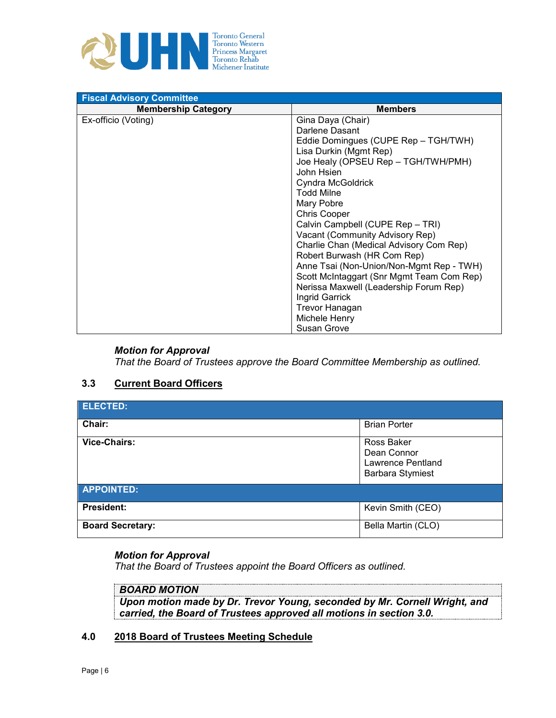

| <b>Fiscal Advisory Committee</b> |                                                                                                                |  |
|----------------------------------|----------------------------------------------------------------------------------------------------------------|--|
| <b>Membership Category</b>       | <b>Members</b>                                                                                                 |  |
| Ex-officio (Voting)              | Gina Daya (Chair)                                                                                              |  |
|                                  | Darlene Dasant                                                                                                 |  |
|                                  | Eddie Domingues (CUPE Rep - TGH/TWH)                                                                           |  |
|                                  | Lisa Durkin (Mgmt Rep)                                                                                         |  |
|                                  | Joe Healy (OPSEU Rep - TGH/TWH/PMH)                                                                            |  |
|                                  | John Hsien                                                                                                     |  |
|                                  | Cyndra McGoldrick                                                                                              |  |
|                                  | <b>Todd Milne</b>                                                                                              |  |
|                                  | Mary Pobre                                                                                                     |  |
|                                  | <b>Chris Cooper</b>                                                                                            |  |
|                                  | Calvin Campbell (CUPE Rep - TRI)<br>Vacant (Community Advisory Rep)<br>Charlie Chan (Medical Advisory Com Rep) |  |
|                                  |                                                                                                                |  |
|                                  |                                                                                                                |  |
|                                  | Robert Burwash (HR Com Rep)                                                                                    |  |
|                                  | Anne Tsai (Non-Union/Non-Mgmt Rep - TWH)                                                                       |  |
|                                  | Scott McIntaggart (Snr Mgmt Team Com Rep)<br>Nerissa Maxwell (Leadership Forum Rep)                            |  |
|                                  |                                                                                                                |  |
|                                  | Ingrid Garrick                                                                                                 |  |
|                                  | Trevor Hanagan                                                                                                 |  |
|                                  | Michele Henry                                                                                                  |  |
|                                  | <b>Susan Grove</b>                                                                                             |  |

## *Motion for Approval*

*That the Board of Trustees approve the Board Committee Membership as outlined.* 

## **3.3 Current Board Officers**

| <b>ELECTED:</b>         |                                                                           |
|-------------------------|---------------------------------------------------------------------------|
| Chair:                  | <b>Brian Porter</b>                                                       |
| Vice-Chairs:            | Ross Baker<br>Dean Connor<br>Lawrence Pentland<br><b>Barbara Stymiest</b> |
| <b>APPOINTED:</b>       |                                                                           |
| <b>President:</b>       | Kevin Smith (CEO)                                                         |
| <b>Board Secretary:</b> | Bella Martin (CLO)                                                        |

## *Motion for Approval*

*That the Board of Trustees appoint the Board Officers as outlined.* 

## *BOARD MOTION*

*Upon motion made by Dr. Trevor Young, seconded by Mr. Cornell Wright, and carried, the Board of Trustees approved all motions in section 3.0.* 

## **4.0 2018 Board of Trustees Meeting Schedule**